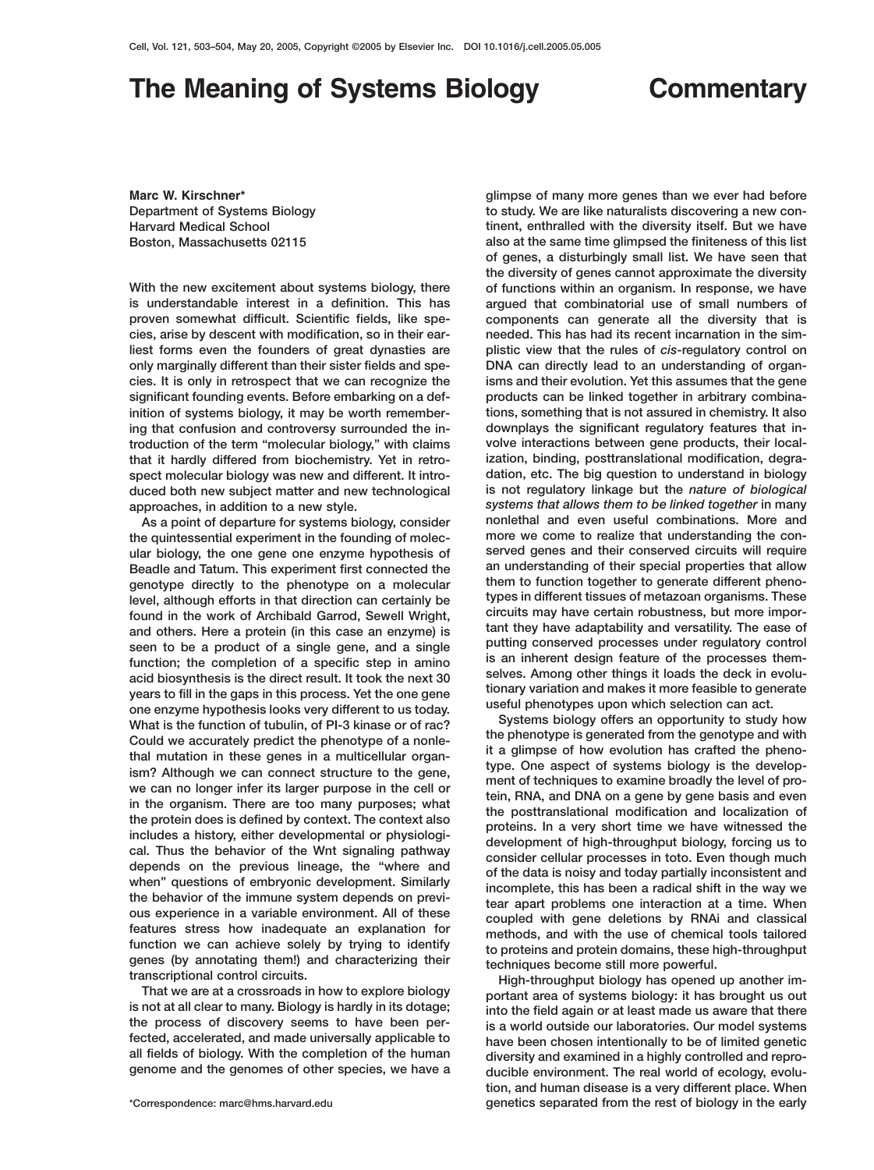## **The Meaning of Systems Biology Commentary**

Found in the work of Archibald Garrod, Sewell Wright,<br>and others. Here a protein (in this case an enzyme) is<br>seen to be a product of a single gene, and a single<br>function; the completion of a specific step in amino<br>acid bio one enzyme hypothesis looks very different to us today.<br>What is the function of tubulin, of PI-3 kinase or of rac?<br>Could we accurately prodict the phenotype of a pople-<br>Could we accurately prodict the phenotype of a pople-Could we accurately predict the phenotype of a nonle-<br>
fraction in these genes in a multicleally redict the phenotype of a nonle-<br>
tractic could we accurately predict the phenotype of a nonle-<br>
ism? Although we can connect

**Marc W. Kirschner\* glimpse of many more genes than we ever had before Department of Systems Biology to study. We are like naturalists discovering a new con-Harvard Medical School tinent, enthralled with the diversity itself. But we have Boston, Massachusetts 02115 also at the same time glimpsed the finiteness of this list of genes, a disturbingly small list. We have seen that the diversity of genes cannot approximate the diversity With the new excitement about systems biology, there of functions within an organism. In response, we have is understandable interest in a definition. This has argued that combinatorial use of small numbers of proven somewhat difficult. Scientific fields, like spe- components can generate all the diversity that is cies, arise by descent with modification, so in their ear- needed. This has had its recent incarnation in the simliest forms even the founders of great dynasties are plistic view that the rules of** *cis***-regulatory control on only marginally different than their sister fields and spe- DNA can directly lead to an understanding of organcies. It is only in retrospect that we can recognize the isms and their evolution. Yet this assumes that the gene significant founding events. Before embarking on a def- products can be linked together in arbitrary combinainition of systems biology, it may be worth remember- tions, something that is not assured in chemistry. It also ing that confusion and controversy surrounded the in- downplays the significant regulatory features that introduction of the term "molecular biology," with claims volve interactions between gene products, their localthat it hardly differed from biochemistry. Yet in retro- ization, binding, posttranslational modification, degraspect molecular biology was new and different. It intro- dation, etc. The big question to understand in biology duced both new subject matter and new technological is not regulatory linkage but the** *nature of biological* **approaches, in addition to a new style.** *systems that allows them to be linked together* **in many As a point of departure for systems biology, consider nonlethal and even useful combinations. More and the quintessential experiment in the founding of molec- more we come to realize that understanding the conular biology, the one gene one enzyme hypothesis of served genes and their conserved circuits will require Beadle and Tatum. This experiment first connected the an understanding of their special properties that allow** genotype directly to the phenotype on a molecular them to function together to generate different pheno-<br>
lovel elthough efforts in that direction can earteinly be types in different tissues of metazoan organisms. These **types in different tissues of metazoan organisms. These level, although efforts in that direction can certainly be**

**fected, accelerated, and made universally applicable to have been chosen intentionally to be of limited genetic all fields of biology. With the completion of the human diversity and examined in a highly controlled and repro**ducible environment. The real world of ecology, evolu**tion, and human disease is a very different place. When \*Correspondence: marc@hms.harvard.edu genetics separated from the rest of biology in the early**